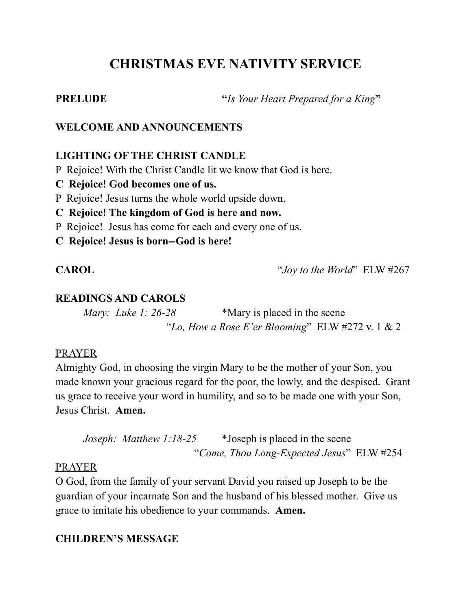# **CHRISTMAS EVE NATIVITY SERVICE**

**PRELUDE "***Is Your Heart Prepared for a King***"**

# **WELCOME AND ANNOUNCEMENTS**

# **LIGHTING OF THE CHRIST CANDLE**

P Rejoice! With the Christ Candle lit we know that God is here.

- **C Rejoice! God becomes one of us.**
- P Rejoice! Jesus turns the whole world upside down.
- **C Rejoice! The kingdom of God is here and now.**
- P Rejoice! Jesus has come for each and every one of us.
- **C Rejoice! Jesus is born--God is here!**

**CAROL** "*Joy to the World*" ELW #267

# **READINGS AND CAROLS**

*Mary: Luke 1: 26-28* \*Mary is placed in the scene "*Lo, How a Rose E'er Blooming*" ELW #272 v. 1 & 2

### PRAYER

Almighty God, in choosing the virgin Mary to be the mother of your Son, you made known your gracious regard for the poor, the lowly, and the despised. Grant us grace to receive your word in humility, and so to be made one with your Son, Jesus Christ. **Amen.**

```
Joseph: Matthew 1:18-25 *Joseph is placed in the scene
          "Come, Thou Long-Expected Jesus" ELW #254
```
### PRAYER

O God, from the family of your servant David you raised up Joseph to be the guardian of your incarnate Son and the husband of his blessed mother. Give us grace to imitate his obedience to your commands. **Amen.**

# **CHILDREN'S MESSAGE**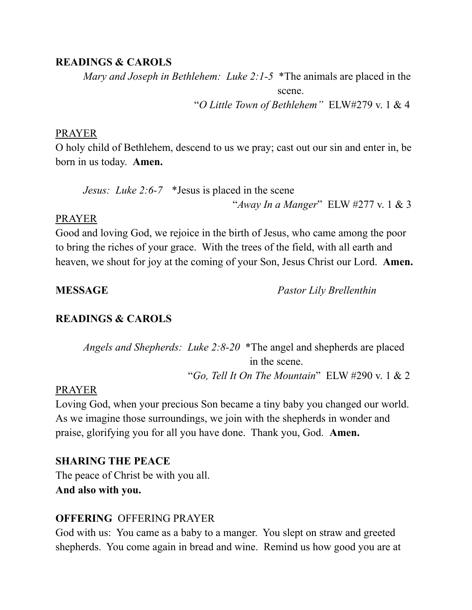#### **READINGS & CAROLS**

*Mary and Joseph in Bethlehem: Luke 2:1-5* \*The animals are placed in the scene. "*O Little Town of Bethlehem"* ELW#279 v. 1 & 4

#### PRAYER

O holy child of Bethlehem, descend to us we pray; cast out our sin and enter in, be born in us today. **Amen.**

*Jesus: Luke 2:6-7* \*Jesus is placed in the scene "*Away In a Manger*" ELW #277 v. 1 & 3

#### PRAYER

Good and loving God, we rejoice in the birth of Jesus, who came among the poor to bring the riches of your grace. With the trees of the field, with all earth and heaven, we shout for joy at the coming of your Son, Jesus Christ our Lord. **Amen.**

**MESSAGE** *Pastor Lily Brellenthin*

#### **READINGS & CAROLS**

*Angels and Shepherds: Luke 2:8-20* \*The angel and shepherds are placed in the scene. "*Go, Tell It On The Mountain*" ELW #290 v. 1 & 2

#### PRAYER

Loving God, when your precious Son became a tiny baby you changed our world. As we imagine those surroundings, we join with the shepherds in wonder and praise, glorifying you for all you have done. Thank you, God. **Amen.**

#### **SHARING THE PEACE**

The peace of Christ be with you all. **And also with you.**

#### **OFFERING** OFFERING PRAYER

God with us: You came as a baby to a manger. You slept on straw and greeted shepherds. You come again in bread and wine. Remind us how good you are at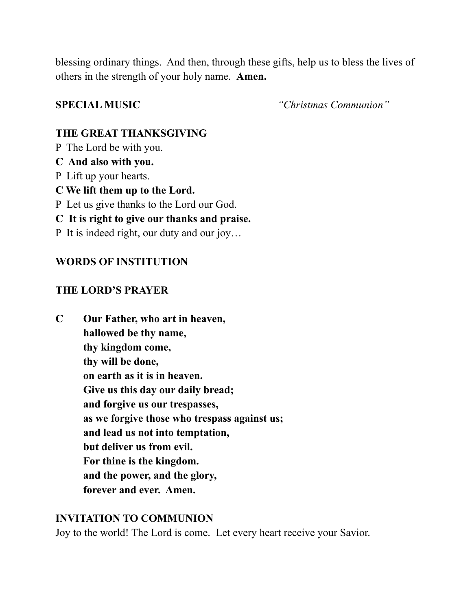blessing ordinary things. And then, through these gifts, help us to bless the lives of others in the strength of your holy name. **Amen.**

**SPECIAL MUSIC** *"Christmas Communion"*

# **THE GREAT THANKSGIVING**

- P The Lord be with you.
- **C And also with you.**
- P Lift up your hearts.
- **C We lift them up to the Lord.**
- P Let us give thanks to the Lord our God.
- **C It is right to give our thanks and praise.**
- P It is indeed right, our duty and our joy…

# **WORDS OF INSTITUTION**

# **THE LORD'S PRAYER**

| C | Our Father, who art in heaven,               |
|---|----------------------------------------------|
|   | hallowed be thy name,                        |
|   | thy kingdom come,                            |
|   | thy will be done,                            |
|   | on earth as it is in heaven.                 |
|   | Give us this day our daily bread;            |
|   | and forgive us our trespasses,               |
|   | as we forgive those who trespass against us; |
|   | and lead us not into temptation,             |
|   | but deliver us from evil.                    |
|   | For thine is the kingdom.                    |
|   | and the power, and the glory,                |
|   | forever and ever. Amen.                      |
|   |                                              |

# **INVITATION TO COMMUNION**

Joy to the world! The Lord is come. Let every heart receive your Savior.